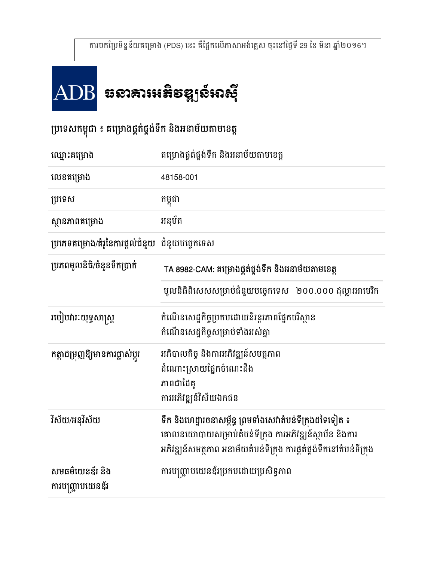# ឆនាឝារអត្ថន័ងខែមែបទាំ

2

## ប្រទេសកម្ពុជា ៖ គម្រោងផ្គតផ្គងទក នងអនាមយតាមខេត្ត

| ឈ្មោះគម្រោង                                            | គម្រោងផ្គត់ផ្គង់ទឹក និងអនាម័យតាមខេត្ត                                                                                                                                                        |
|--------------------------------------------------------|----------------------------------------------------------------------------------------------------------------------------------------------------------------------------------------------|
| លេខគម្រោង                                              | 48158-001                                                                                                                                                                                    |
| ប្រទេស                                                 | កម្ពុជា                                                                                                                                                                                      |
| ស្ថានភាពគម្រោង                                         | អនុម័ត                                                                                                                                                                                       |
| <b>ប្រភេទគម្រោង/គំរូនៃការផ្តល់ជំនួយ</b> ជំនួយបច្ចេកទេស |                                                                                                                                                                                              |
| ប្រភពមូលនិធិ/ចំនួនទឹកប្រាក់                            | TA 8982-CAM: គម្រោងផ្គត់ផ្គង់ទឹក និងអនាម័យតាមខេត្ត                                                                                                                                           |
|                                                        | មូលនិធិពិសេសសម្រាប់ជំនួយបច្ចេកទេស   ២០០.០០០ ដុល្លារអាមេរិក                                                                                                                                   |
| របៀបវារៈយុទ្ធសាស្ត្រ                                   | កំណើនសេដ្នកិច្ចប្រកបដោយនិរន្តរភាពផ្នែកបរិស្ថាន<br>កំណើនសេដ្ឋកិច្ចសម្រាប់ទាំងអស់គ្នា                                                                                                          |
| កត្តាជម្រុញឱ្យមានការផ្លាស់ប្តូរ                        | អភិបាលកិច្ច និងការអភិវឌ្ឍន៍សមត្ថភាព<br>ដំណោះស្រាយផ្នែកចំណេះដឹង<br>ភាពជាដៃគូ<br>ការអភិវឌ្ឍន៍វិស័យឯកជន                                                                                         |
| វិស័យ/អនុវិស័យ                                         | ទឹក និងហេដ្ឋារចនាសម្ព័ន្ធ ព្រមទាំងសេវាតំបន់ទីក្រុងដទៃទៀត ៖<br>គោលនយោបាយសម្រាប់តំបន់ទីក្រុង ការអភិវឌ្ឍន៍ស្ថាប័ន និងការ<br>អភិវឌ្ឍន៍សមត្ថភាព អនាម័យតំបន់ទីក្រុង ការផ្គត់ផ្គង់ទឹកនៅតំបន់ទីក្រុង |
| សមធម៌យេនឌ័រ និង<br>ការបញ្ជ្រាបយេនឌ័រ                   | ការបញ្ជ្រាបយេនឌ័រប្រកបដោយប្រសិទ្ធភាព                                                                                                                                                         |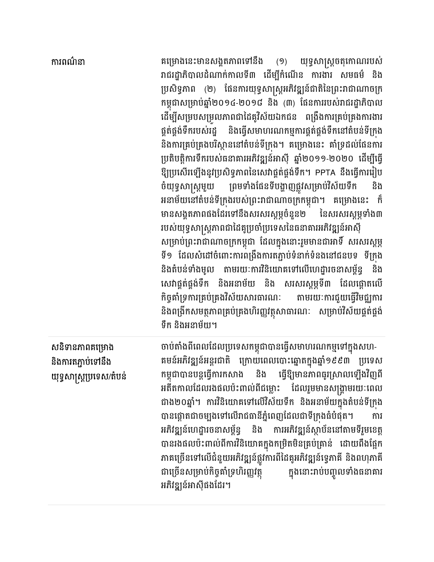| ការពណ៌នា                                                          | គម្រោងនេះមានសង្គតភាពទៅនឹង (១) យុទ្ធសាស្រ្តចតុកោណរបស់<br>រាជរដ្ឋាភិបាលដំណាក់កាលទី៣ ដើម្បីកំណើន ការងារ សមធម៌ និង<br>ប្រសិទ្ធភាព (២) ផែនការយុទ្ធសាស្ត្រអភិវឌ្ឍន៍ជាតិនៃព្រះរាជាណាចក្រ<br>កម្ពុជាសម្រាប់ឆ្នាំ២០១៤-២០១៨ និង (៣) ផែនការរបស់រាជរដ្ឋាភិបាល<br>ដើម្បីសម្របសម្រួលភាពជាដៃគូវិស័យឯកជន ពង្រឹងការគ្រប់គ្រងការងារ<br>ផ្គត់ផ្គង់ទឹករបស់រដ្ឋ និងធ្វើសមាហរណកម្មការផ្គត់ផ្គង់ទឹកនៅតំបន់ទីក្រង<br>និងការគ្រប់គ្រងបរិស្ថាននៅតំបន់ទីក្រង។ គម្រោងនេះ គាំទ្រដល់ផែនការ<br>ប្រតិបត្តិការទឹករបស់ធនាគារអភិវឌ្ឍន៍អាស៊ី ឆ្នាំ២០១១-២០២០ ដើម្បីធ្វើ<br>ឱ្យប្រសើរឡើងនូវប្រសិទ្ធភាពនៃសេវាផ្គត់ផ្គង់ទឹក។ PPTA នឹងធ្វើការរៀប<br>ចំយុទ្ធសាស្ត្រមួយ ព្រមទាំងផែនទីបង្ហាញផ្លូវសម្រាប់វិស័យទឹក និង<br>អនាម័យនៅតំបន់ទីក្រុងរបស់ព្រះរាជាណាចក្រកម្ពុជា។ គម្រោងនេះ ក៏<br>មានសង្គតភាពផងដែរទៅនឹងសរសរស្តម្ភចំនួន២ នៃសរសរស្តម្ភទាំង៣<br>របស់យុទ្ធសាស្ត្រភាពជាដៃគូប្រចាំប្រទេសនៃធនាគារអភិវឌ្ឍន៍អាស៊ី<br>សម្រាប់ព្រះរាជាណាចក្រកម្ពុជា ដែលក្នុងនោះរួមមានជាអាទិ៍ សរសរស្តម្ភ<br>ទី១ ដែលសំដៅចំពោះការពង្រឹងការតភ្ជាប់ទំនាក់ទំនងនៅជនបទ ទីក្រុង<br>និងតំបន់ទាំងមូល តាមរយៈការវិនិយោគទៅលើហេដ្ឋារចនាសម្ព័ន្ធ<br>និង<br>សេវាផ្គត់ផ្គង់ទឹក និងអនាម័យ និង សរសរស្តម្ភទី៣ ដែលផ្តោតលើ<br>កិច្ចគាំទ្រការគ្រប់គ្រងវិស័យសារធារណៈ តាមរយៈការជួយធ្វើវិមជ្ឈការ<br>និងពង្រីកសមត្ថភាពគ្រប់គ្រងហិរញ្ញវត្ថុសាធារណៈ សម្រាប់វិស័យផ្គត់ផ្គង់<br>ទឹក និងអនាម័យ។ |
|-------------------------------------------------------------------|----------------------------------------------------------------------------------------------------------------------------------------------------------------------------------------------------------------------------------------------------------------------------------------------------------------------------------------------------------------------------------------------------------------------------------------------------------------------------------------------------------------------------------------------------------------------------------------------------------------------------------------------------------------------------------------------------------------------------------------------------------------------------------------------------------------------------------------------------------------------------------------------------------------------------------------------------------------------------------------------------------------------------------------------------------------------------------------------------------------------------------------------------------------------------------------------------------------------------------------------------------------------------------------------|
| សនិទានភាពគម្រោង<br>និងការតភ្ជាប់ទៅនឹង<br>យុទ្ធសាស្ត្រប្រទេស/តំបន់ | ចាប់តាំងពីពេលដែលប្រទេសកម្ពុជាបានធ្វើសមាហរណកម្មទៅក្នុងសហ-<br>គមន៍អភិវឌ្ឍន៍អន្តរជាតិ ក្រោយពេលបោះឆ្នោតក្នុងឆ្នាំ១៩៩៣ ប្រទេស<br>កម្ពុជាបានបន្តធ្វើការកសាង និង ធ្វើឱ្យមានភាពធូរស្រាលឡើងវិញពី<br>អតីតកាលដែលរងផលប៉ះពាល់ពីជម្លោះ ដែលរួមមានសង្គ្រាមរយៈពេល<br>ជាង២០ឆ្នាំ។ ការវិនិយោគទៅលើវិស័យទឹក និងអនាម័យក្នុងតំបន់ទីក្រុង<br>បានផ្តោតជាចម្បងទៅលើរាជធានីភ្នំពេញដែលជាទីក្រុងធំបំផុត។<br>ការ<br>អភិវឌ្ឍន៍ហេដ្ឋារចនាសម្ព័ន្ធ និង ការអភិវឌ្ឍន៍ស្ថាប័ននៅតាមទីរួមខេត្ត<br>បានរងផលប៉ះពាល់ពីការវិនិយោគក្នុងកម្រិតមិនគ្រប់គ្រាន់ ដោយពឹងផ្អែក<br>ភាគច្រើនទៅលើជំនួយអភិវឌ្ឍន៍ផ្លូវការពីដៃគូអភិវឌ្ឍន៍ទ្វេភាគី និងពហុភាគី<br>ជាច្រើនសម្រាប់កិច្ចគាំទ្រហិរញ្ញវត្ថុ<br>ក្នុងនោះរាប់បញ្ចូលទាំងធនាគារ<br>អភិវឌ្ឍន៍អាស៊ីផងដែរ។                                                                                                                                                                                                                                                                                                                                                                                                                                                                                                                                                                                           |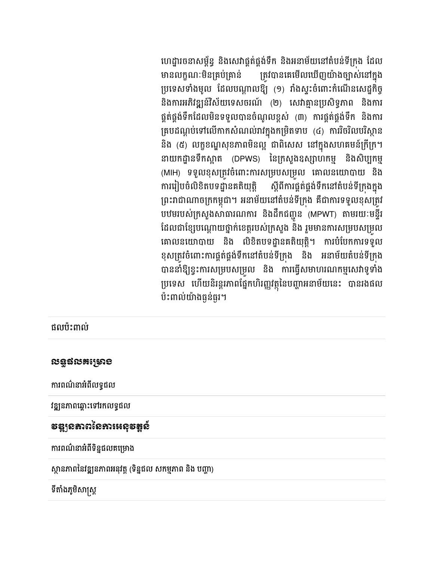ហេដ្ឋារចនាសម្ពន្ធ នងសេវាផ្គត់ផ្គងទឹក នងអនាមយនោតបនទក្រុង ដែល មានលក្ខណៈមនគ្របគ្រាន ក្រ នគ្របគ្រាន ត្រូវបានគេមេលឃេញយាងច្បាសនោក្នុង ប្រទេសទាងមូល ដេលបណ្តាលខ្យ (១) វាងស្ទះចពោះកណេនសេដ្ឋកច្ច នងការអភិវឌ្ឍនរសយទេសចរណ (២) សេវាគ្មានប្រសទ្ធភាព នងការ ផ្គត់ផ្គង់ទឹកដែលមិនទទួលបានចំណូលខ្ពស់ (៣) ការផ្គត់ផ្គង់ទឹក និងការ គ្របដណ្តបទោលេកាកសណលរារក្នុងកម្រតទាប (៤) ការរចរលបរស្ថាន នង (៥) លក្ខខណ្ឌសុខភាពមនល្អ ជាពសេស នៅក្នុងសហគមនក្រក្រ។ នាយកដ្ឋានទកស្អាត (DPWS) នេក្រសួងឧស្សាហកម្ម នងសប្បកម្ម (MIH) ទទួលខុសត្រូវចំពោះការសម្របសម្រួល គោលនយោបាយ នង ការរៀបចំលិខិតបទដ្ឋានគតិយុត្តិ យុត្ត ស្តពការផ្គតផ្គងទកនោតបនទក្រុងក្នុង ព្រះរាជាណាចក្រកម្ពុជា។ អនាមយនោតបនទក្រុង គជាការទទួលខុសត្រូវ បឋមរបស់ក្រសួងសាធារណការ នងដកជញ្ចូន (MPWT) តាមរយៈមន្ទរ ដែលជាខ្សេបណ្តោយថ្នាក់ខេត្តរបស់ក្រសួង នង រួមមានការសម្របសម្រួល គោលនយោបាយ នង លខតបទដ្ឋានគតយុត្ត។ ការបបេកការទទួល ខុសត្រូវចំពោះការផ្គត់ផ្គង់ទឹកនោតបនទីក្រុង និង អនាមយតបនទីក្រុង បាននាខ្យខ្វះការសម្របសម្រួល នង ការធ្វេសមាហរណកម្មសេវាទូទាង ប្រទេស ហេយនរន្តរភាពផ្នេកហរញ្ញរត្ថុនេបញ្ហាអនាមយនេះ បានរងផល

ផលប៉ះពាល់

ប៉ះពាល់យ៉ាងធ្ងន់ធ្**រ**។

**របន្**ផលគម្រោ**ខ** 

ការពណ៌នាអំពីលទ្ធផល

វឌ្ឍនភាពឆ្ពោះទៅរកលទ្ធផល

ការពណនាអពទន្នផលគម្រោង

ទីតាំងភូមិសាស្ត្រ

ទឌ្ឍនឝាពនេឝារអនុទឌ្គន

ស្ថានភាពនេរឌ្ឍនភាពអនុវត្ត (ទន្នផល សកម្មភាព នង បញ្ហា)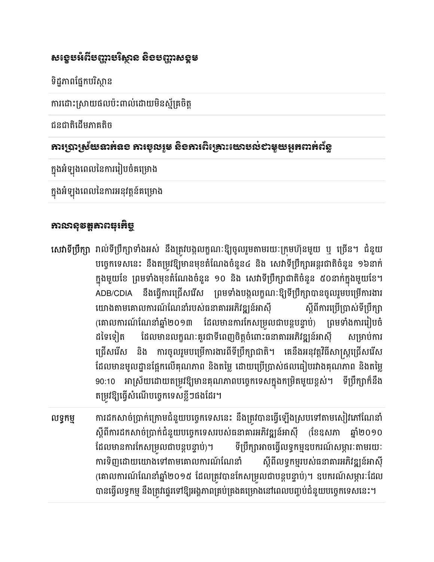### សខ្ទេមអំពីមញ្ញាមរិស្ថាន និខមញ្ញាសទ្ធម

ទិដ្ឋភាពផ្នែកបរិស្ថាន

ការដោះស្រាយផលបះពាលដោយមនស្មគ្រចត្ត

ជនជាតិដើមភាគតិច

#### ភារប្រាស្រ័យនាក់ធខ ភារទូលរួម តិខភារពិគ្រោះយោមល់ខាមួយអួកពាក់ព័ន្ធ

ក្នុងអឡុងពេលនេការរៀបចគម្រោង

ក្នុងអឡុងពេលនេការអនុវត្តនគម្រោង

#### អាយាសន្នដឹងប្

- **សេវាទប្រក្សា** រាលទប្រក្សាទាងអស នងត្រូវបង្កលក្ខណៈឱ្យចូលរួមតាមរយៈក្រុមហុនមួយ ឬ ច្រេន។ ជនួយ បច្ចេកទេសនេះ នងតម្រូវខ្យួមានមុខតំណេងចំនួន៤ និង សេវាទប្រក្សាអន្តរជាតិចំនួន ១៦នាក់ ក្នុងមួយខេ ព្រមទាងមុខតណេងចនួន ១០ នង សេវាទប្រក្សាជាតិចនួន ៥០នាក់ក្នុងមួយខេ។ ADB/CDIA នងធ្វេការជ្រេសរេស ព្រមទាងបង្កលក្ខណៈខ្យួទប្រក្សាបានចូលរួមបម្រេការងារ យោងតាមគោលការណណេនារបស់ធនាគារអភវឌ្ឍនអាសុ $\hskip2cm$  ស្តពការប្រ បញ្ចាសទប្រក្សា (គោលការណណេនាឆ្នាំ២០១៣ ដែលមានការកេសម្រល់ជាបន្តបន្ទាប់) ព្រមទាងការរៀបចំ ដទេទេ្យត ដេលមានលក្ខណៈគូរជាទពេញចត្តចពោះធនាគារអភវឌ្ឍនអាសុ ស សម្រាប់ការ ជ្រេសរេស នង ការចូលរួមបម្រេការងារពទប្រក្សាជាត។ គេនងអនុវត្តរធសាស្ត្រជ្រេសរេស ដែលមានមូលដ្ឋានផ្អេកលេគុណភាព នងតម្លេ ដោយប្រេប្រាសធលធ្យេបររាងគុណភាព នងតម្លេ 90:10 អាស្រយដោយតម្រូវខ្យមានគុណភាពបច្ចេកទេសក្នុងកម្រតមួយខ្ពស។ ទប្រក្សាកនង តម្រូវខ្យួច្នេសបច្ចេកទេសខ្លួៗផងដេរ។
- !ទJកម 2/Cក(ច-8ក-2មជន4យបច6កទន ន . ង-ãY8នធ{M|Mង-បsមGYüPL. ស្តពការដកសាចប្រាកជំនួយបច្ចេកទេសរបស់ធនាគារអភវឌ្ឍនអាសុ (ខេឧសភា ឆ្នា២០១០ ដេលមានការកេសម្រួលជាបន្តបន្ទាប)។ ទ<sub>ែ</sub> ទីប្រឹក្សាអាចធ្វើលទ្ធកម្មឧបករណ៍សម្ភារៈតាមរយៈ ការទិញដោយយោងទៅតាមគោលការណ៍ណែនាំ ស្តីពីលទ្ធកម្មរបស់ធនាគារអភិវឌ្ឍន៍អាស៊ី (គោលការណណេនាឆ្នាំ២០១៥ ដែលត្រូវបានកេសម្រល់ជាបន្តបន្ទាប់)។ ឧបករណសម្ភារៈដែល បានធ្វេលទ្ធកម្ម នងត្រូវធ្វេីរទៅឱ្យអង្គភាពគ្របគ្រងគម្រោងនៅពេលបញ្ចបជំនួយបច្ចេកទេសនេះ។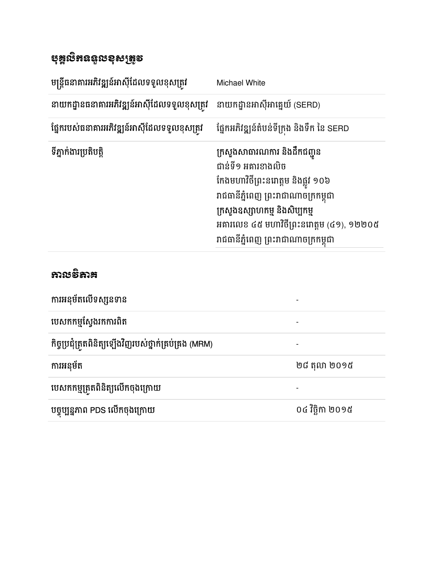| <b>បុ</b> ឌ្គលិគឧន្ទលខុសត្រូទ                |                                                                                                                                                                                                                                                        |
|----------------------------------------------|--------------------------------------------------------------------------------------------------------------------------------------------------------------------------------------------------------------------------------------------------------|
| មន្ត្រីធនាគារអភិវឌ្ឍន៍អាស៊ីដែលទទួលខុសត្រូវ   | Michael White                                                                                                                                                                                                                                          |
| នាយកដ្ឋានធនាគារអភិវឌ្ឍន៍អាស៊ីដែលទទួលខុសត្រូវ | នាយកដ្ឋានអាស៊ីអាគ្នេយ៍ (SERD)                                                                                                                                                                                                                          |
| ផ្នែករបស់ធនាគារអភិវឌ្ឍន៍អាស៊ីដែលទទួលខុសត្រូវ | ផ្នែកអភិវឌ្ឍន៍តំបន់ទីក្រុង និងទឹក នៃ SERD                                                                                                                                                                                                              |
| ទីភ្នាក់ងារប្រតិបត្តិ                        | ក្រសួងសាធារណការ និងដឹកជញ្ជូន<br>ជាន់ទី១ អគារខាងលិច<br>កែងមហាវិថីព្រះនរោត្តម និងផ្លូវ ១០៦<br>រាជធានីភ្នំពេញ ព្រះរាជាណាចក្រកម្ពុជា<br>ក្រសួងឧស្សាហកម្ម និងសិប្បកម្ម<br>អគារលេខ ៤៥ មហាវិថីព្រះនរោត្តម (៤១), ១២២០៥<br>រាជធានីភ្នំពេញ ព្រះរាជាណាចក្រកម្ពុជា |

| <b>ການອົ</b> ສາສ                                       |                  |
|--------------------------------------------------------|------------------|
| ការអនុម័តលើទស្សនទាន                                    |                  |
| បេសកកម្មស្វែងរកការពិត                                  |                  |
| កិច្ចប្រជុំត្រួតពិនិត្យឡើងវិញរបស់ថ្នាក់គ្រប់គ្រង (MRM) |                  |
| ការអនុម័ត                                              | ២៨ តុលា ២០១៥     |
| បេសកកម្មត្រួតពិនិត្យលើកចុងក្រោយ                        |                  |
| បច្ចុប្បន្នភាព PDS លើកចុងក្រោយ                         | ០៤ វិច្ឆិកា ២០១៥ |